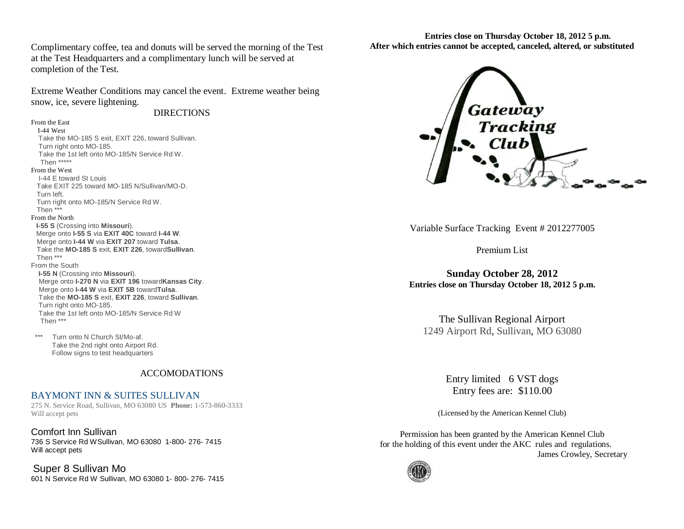Complimentary coffee, tea and donuts will be served the morning of the Test at the Test Headquarters and a complimentary lunch will be served at completion of the Test.

Extreme Weather Conditions may cancel the event. Extreme weather being snow, ice, severe lightening.

**DIRECTIONS** 

## From the East

 I-44 West Take the MO-185 S exit, EXIT 226, toward Sullivan. Turn right onto MO-185. Take the 1st left onto MO-185/N Service Rd W. Then \*\*\*\*\* From the West I-44 E toward St Louis Take EXIT 225 toward MO-185 N/Sullivan/MO-D. Turn left.

 Turn right onto MO-185/N Service Rd W. Then \*\*\*

## From the North

 **I-55 S** (Crossing into **Missouri**). Merge onto **I-55 S** via **EXIT 40C** toward **I-44 W**. Merge onto **I-44 W** via **EXIT 207** toward **Tulsa**. Take the **MO-185 S** exit, **EXIT 226**, toward**Sullivan**. Then \*\*\* From the South

 **I-55 N** (Crossing into **Missouri**). Merge onto **I-270 N** via **EXIT 196** toward**Kansas City**. Merge onto **I-44 W** via **EXIT 5B** toward**Tulsa**. Take the **MO-185 S** exit, **EXIT 226**, toward **Sullivan**. Turn right onto MO-185. Take the 1st left onto MO-185/N Service Rd W Then \*\*\*

 \*\*\* Turn onto N Church St/Mo-af. Take the 2nd right onto Airport Rd. Follow signs to test headquarters

## ACCOMODATIONS

## BAYMONT INN & SUITES SULLIVAN

275 N. Service Road, Sullivan, MO 63080 US **Phone:** 1-573-860-3333 Will accept pets

[Comfort Inn Sullivan](http://travel.hotels-and-discounts.com/hotel/propertydetails/250420/SUMMARY?isHRN=true&position=2&cid=59562) 736 S Service Rd WSullivan, MO 63080 1-800- 276- 7415 Will accept pets

[Super 8 Sullivan Mo](http://travel.hotels-and-discounts.com/hotel/propertydetails/201323/SUMMARY?isHRN=true&position=3&cid=59562) 601 N Service Rd W Sullivan, MO 63080 1- 800- 276- 7415

**Entries close on Thursday October 18, 2012 5 p.m. After which entries cannot be accepted, canceled, altered, or substituted**



Variable Surface Tracking Event # 2012277005

Premium List

**Sunday October 28, 2012 Entries close on Thursday October 18, 2012 5 p.m.**

The Sullivan Regional Airport 1249 Airport Rd, [Sullivan,](http://www.mapquest.com/maps?city=Sullivan&state=MO) [MO](http://www.mapquest.com/maps?state=MO) [63080](http://www.mapquest.com/maps?state=MO)

> Entry limited 6 VST dogs Entry fees are: \$110.00

(Licensed by the American Kennel Club)

Permission has been granted by the American Kennel Club for the holding of this event under the AKC rules and regulations. James Crowley, Secretary

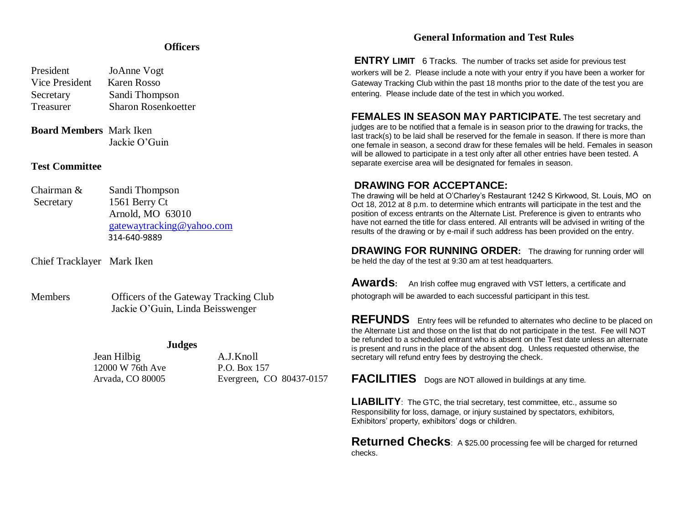# **Officers**

| JoAnne Vogt                |
|----------------------------|
| Karen Rosso                |
| Sandi Thompson             |
| <b>Sharon Rosenkoetter</b> |
|                            |

## **Board Members** Mark Iken Jackie O'Guin

## **Test Committee**

Chairman & Sandi Thompson Secretary 1561 Berry Ct Arnold, MO 63010 [gatewaytracking@yahoo.com](mailto:gatewaytracking@yahoo.com) 314-640-9889

Chief Tracklayer Mark Iken

Members Officers of the Gateway Tracking Club Jackie O'Guin, Linda Beisswenger

## **Judges**

 Jean Hilbig A.J.Knoll 12000 W 76th Ave P.O. Box 157

Arvada, CO 80005 Evergreen, CO 80437-0157

# **General Information and Test Rules**

**ENTRY LIMIT** 6 Tracks. The number of tracks set aside for previous test workers will be 2. Please include a note with your entry if you have been a worker for Gateway Tracking Club within the past 18 months prior to the date of the test you are entering. Please include date of the test in which you worked.

## **FEMALES IN SEASON MAY PARTICIPATE.** The test secretary and judges are to be notified that a female is in season prior to the drawing for tracks, the last track(s) to be laid shall be reserved for the female in season. If there is more than one female in season, a second draw for these females will be held. Females in season will be allowed to participate in a test only after all other entries have been tested. A separate exercise area will be designated for females in season.

# **DRAWING FOR ACCEPTANCE:**

The drawing will be held at O'Charley's Restaurant 1242 S Kirkwood, St. Louis, MO on Oct 18, 2012 at 8 p.m. to determine which entrants will participate in the test and the position of excess entrants on the Alternate List. Preference is given to entrants who have not earned the title for class entered. All entrants will be advised in writing of the results of the drawing or by e-mail if such address has been provided on the entry.

**DRAWING FOR RUNNING ORDER:** The drawing for running order will be held the day of the test at 9:30 am at test headquarters.

**Awards:** An Irish coffee mug engraved with VST letters, a certificate and photograph will be awarded to each successful participant in this test.

**REFUNDS** Entry fees will be refunded to alternates who decline to be placed on the Alternate List and those on the list that do not participate in the test. Fee will NOT be refunded to a scheduled entrant who is absent on the Test date unless an alternate is present and runs in the place of the absent dog. Unless requested otherwise, the secretary will refund entry fees by destroying the check.

**FACILITIES** Dogs are NOT allowed in buildings at any time.

LIABILITY: The GTC, the trial secretary, test committee, etc., assume so Responsibility for loss, damage, or injury sustained by spectators, exhibitors, Exhibitors' property, exhibitors' dogs or children.

**Returned Checks**: A \$25.00 processing fee will be charged for returned checks.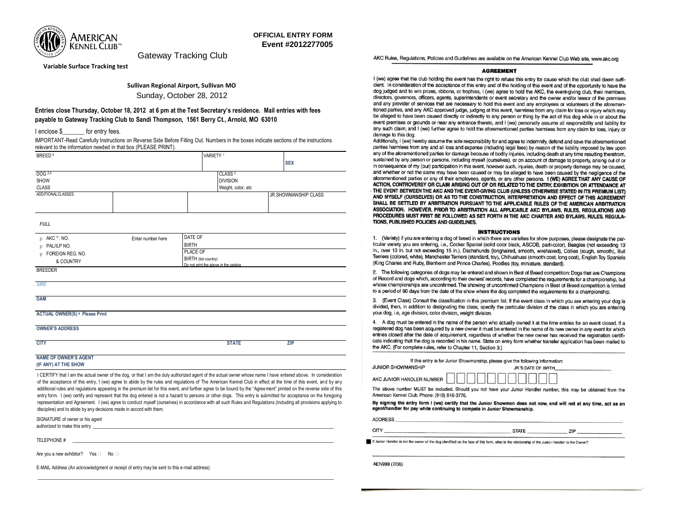

Gateway Tracking Club

**Variable Surface Tracking test**

### **Sullivan Regional Airport, Sullivan MO**

Sunday, October 28, 2012

### **Entries close Thursday, October 18, 2012 at 6 pm at the Test Secretary's residence. Mail entries with fees payable to Gateway Tracking Club to Sandi Thompson, 1561 Berry Ct., Arnold, MO 63010**

I enclose \$ for entry fees.

IMPORTANT-Read Carefully Instructions on Reverse Side Before Filling Out. Numbers in the boxes indicate sections of the instructions relevant to the information needed in that box (PLEASE PRINT).

| BREED <sup>5</sup>                                                                                                                                            |                      |                                       | VARIETY <sup>1</sup> |  |                             |
|---------------------------------------------------------------------------------------------------------------------------------------------------------------|----------------------|---------------------------------------|----------------------|--|-----------------------------|
|                                                                                                                                                               |                      |                                       |                      |  | <b>SEX</b>                  |
| DOG 2,3                                                                                                                                                       |                      |                                       | CLASS <sup>3</sup>   |  |                             |
| <b>SHOW</b>                                                                                                                                                   |                      |                                       | <b>DIVISION</b>      |  |                             |
| <b>CLASS</b>                                                                                                                                                  |                      |                                       | Weight, color, etc   |  |                             |
| <b>ADDITIONALCLASSES</b>                                                                                                                                      |                      |                                       |                      |  | <b>JR.SHOWMANSHIP CLASS</b> |
| <b>FULL</b>                                                                                                                                                   |                      |                                       |                      |  |                             |
| AKC <sup>©</sup> , NO.<br>O                                                                                                                                   | Enter number here    | DATE OF                               |                      |  |                             |
| PAL/ILP NO.<br>O                                                                                                                                              |                      | <b>BIRTH</b>                          |                      |  |                             |
| FOREIGN REG. NO.<br>p                                                                                                                                         |                      | PLACE OF                              |                      |  |                             |
| & COUNTRY                                                                                                                                                     | BIRTH (list country) |                                       |                      |  |                             |
| <b>BREEDER</b>                                                                                                                                                |                      | Do not print the above in the catalog |                      |  |                             |
|                                                                                                                                                               |                      |                                       |                      |  |                             |
| <b>SIRE</b>                                                                                                                                                   |                      |                                       |                      |  |                             |
| <b>DAM</b>                                                                                                                                                    |                      |                                       |                      |  |                             |
| <b>ACTUAL OWNER(S) 4 Please Print</b>                                                                                                                         |                      |                                       |                      |  |                             |
| <b>OWNER'S ADDRESS</b>                                                                                                                                        |                      |                                       |                      |  |                             |
| <b>CITY</b>                                                                                                                                                   |                      |                                       | <b>STATE</b>         |  | <b>ZIP</b>                  |
| <b>NAME OF OWNER'S AGENT</b><br>(IF ANY) AT THE SHOW                                                                                                          |                      |                                       |                      |  |                             |
| I CERTIFY that I am the actual owner of the dog, or that I am the duly authorized agent of the actual owner whose name I have entered above. In consideration |                      |                                       |                      |  |                             |

of the acceptance of this entry, I (we) agree to abide by the rules and regulations of The American Kennel Club in effect at the time of this event, and by any additional rules and regulations appearing in the premium list for this event, and further agree to be bound by the "Agreement" printed on the reverse side of this entry form. I (we) certify and represent that the dog entered is not a hazard to persons or other dogs. This entry is submitted for acceptance on the foregoing representation and Agreement. I (we) agree to conduct myself (ourselves) in accordance with all such Rules and Regulations (including all provisions applying to discipline) and to abide by any decisions made in accord with them.

\_\_\_\_\_\_\_\_\_\_\_\_\_\_\_\_\_\_\_\_\_\_\_\_\_\_\_\_\_\_\_\_\_\_\_\_\_\_\_\_\_\_\_\_\_\_\_\_\_\_\_\_\_\_\_\_\_\_\_\_\_\_\_\_\_\_\_\_\_\_\_\_\_\_\_\_\_\_\_\_\_\_\_\_\_\_\_\_\_\_\_\_\_\_\_\_\_\_\_\_\_\_

SIGNATURE of owner or his agent authorized to make this entry with the state of the state of the state of the state of the state of the state of the state of the state of the state of the state of the state of the state of the state of the state of the s

TELEPHONE #

Are you a new exhibitor? Yes  $\Box$  No  $\Box$ 

E-MAIL Address (An acknowledgment or receipt of entry may be sent to this e-mail address):

AKC Rules, Regulations, Policies and Guidelines are available on the American Kennel Club Web site, www.akc.org

### **AGREEMENT**

I (we) agree that the club holding this event has the right to refuse this entry for cause which the club shall deem sufficient. In consideration of the acceptance of this entry and of the holding of this event and of the opportunity to have the dog judged and to win prizes, ribbons, or trophies, I (we) agree to hold the AKC, the event-giving club, their members, directors, governors, officers, agents, superintendents or event secretary and the owner and/or lessor of the premises and any provider of services that are necessary to hold this event and any employees or volunteers of the aforementioned parties, and any AKC approved judge, judging at this event, harmless from any claim for loss or injury which may be alleged to have been caused directly or indirectly to any person or thing by the act of this dog while in or about the event premises or grounds or near any entrance thereto, and I (we) personally assume all responsibility and liability for any such claim; and I (we) further agree to hold the aforementioned parties harmless from any claim for loss, injury or damage to this dog.

Additionally, I (we) hereby assume the sole responsibility for and agree to indemnify, defend and save the aforementioned parties harmless from any and all loss and expense (including legal fees) by reason of the liability imposed by law upon any of the aforementioned parties for damage because of bodily injuries, including death at any time resulting therefrom. sustained by any person or persons, including myself (ourselves), or on account of damage to property, arising out of or in consequence of my (our) participation in this event, however such, injuries, death or property damage may be caused, and whether or not the same may have been caused or may be alleged to have been caused by the negligence of the aforementioned parties or any of their employees, agents, or any other persons. I (WE) AGREE THAT ANY CAUSE OF ACTION, CONTROVERSY OR CLAIM ARISING OUT OF OR RELATED TO THE ENTRY, EXHIBITION OR ATTENDANCE AT THE EVENT BETWEEN THE AKC AND THE EVENT-GIVING CLUB (UNLESS OTHERWISE STATED IN ITS PREMIUM LIST) AND MYSELF (OURSELVES) OR AS TO THE CONSTRUCTION, INTERPRETATION AND EFFECT OF THIS AGREEMENT SHALL BE SETTLED BY ARBITRATION PURSUANT TO THE APPLICABLE RULES OF THE AMERICAN ARBITRATION ASSOCIATION. HOWEVER, PRIOR TO ARBITRATION ALL APPLICABLE AKC BYLAWS, RULES, REGULATIONS AND PROCEDURES MUST FIRST BE FOLLOWED AS SET FORTH IN THE AKC CHARTER AND BYLAWS. RULES, REGULA-TIONS, PUBLISHED POLICIES AND GUIDELINES.

#### **INSTRUCTIONS**

1. (Variety) if you are entering a dog of breed in which there are varieties for show purposes, please designate the particular variety you are entering, i.e., Cocker Spaniel (solid color black, ASCOB, parti-color), Beagles (not exceeding 13 in., over 13 in. but not exceeding 15 in.), Dachshunds (longhaired, smooth, wirehaired), Collies (rough, smooth), Bull Terriers (colored, white), Manchester Terriers (standard, toy), Chihuahuas (smooth coat, long coat), English Toy Spaniels (King Charles and Ruby, Blenheim and Prince Charles), Poodles (toy, miniature, standard).

2. The following categories of dogs may be entered and shown in Best of Breed competition: Dogs that are Champions of Record and dogs which, according to their owners' records, have completed the requirements for a chamoionship, but whose championships are unconfirmed. The showing of unconfirmed Champions in Best of Breed competition is limited to a period of 90 days from the date of the show where the dog completed the requirements for a championship.

3. (Event Class) Consult the classification in this premium list. If the event class in which you are entering your dog is divided, then, in addition to designating the class, specify the particular division of the class in which you are entering your dog, i.e, age division, color division, weight division.

4. A dog must be entered in the name of the person who actually owned it at the time entries for an event closed. If a registered dog has been acquired by a new owner it must be entered in the name of its new owner in any event for which entries closed after the date of acquirement, regardless of whether the new owner has received the registration certificate indicating that the dog is recorded in his name. State on entry form whether transfer application has been mailed to the AKC. (For complete rules, refer to Chapter 11, Section 3.)

|                                              | If this entry is for Junior Showmanship, please give the following information:                                  |
|----------------------------------------------|------------------------------------------------------------------------------------------------------------------|
| <b>JUNIOR SHOWMANSHIP</b>                    | JR'S DATE OF BIRTH                                                                                               |
|                                              |                                                                                                                  |
|                                              | The above number MUST be included. Should you not have your Junior Handler number, this may be obtained from the |
| American Kennel Club. Phone: (919) 816-3776. |                                                                                                                  |

By signing the entry form I (we) certify that the Junior Showman does not now, and will not at any time, act as an agent/handler for pay while continuing to compete in Junior Showmanship.

**STATE** 

ZIP

**ADDRESS** 

**CITY** 

If Junior Handler is not the owner of the dog identified on the face of this form, what is the relationship of the Junior Handler to the Owner?

AEN999 (7/06)